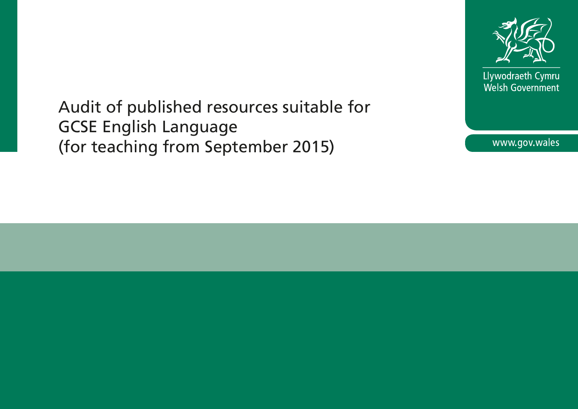

Llywodraeth Cymru Welsh Government

Audit of published resources suitable for GCSE English Language (for teaching from September 2015)

www.gov.wales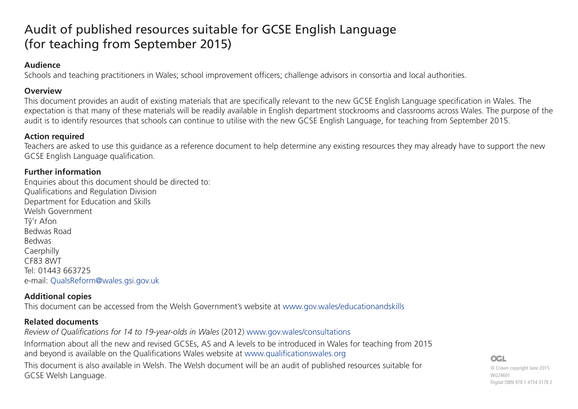# Audit of published resources suitable for GCSE English Language (for teaching from September 2015)

#### **Audience**

Schools and teaching practitioners in Wales; school improvement officers; challenge advisors in consortia and local authorities.

#### **Overview**

This document provides an audit of existing materials that are specifically relevant to the new GCSE English Language specification in Wales. The expectation is that many of these materials will be readily available in English department stockrooms and classrooms across Wales. The purpose of the audit is to identify resources that schools can continue to utilise with the new GCSE English Language, for teaching from September 2015.

#### **Action required**

Teachers are asked to use this guidance as a reference document to help determine any existing resources they may already have to support the new GCSE English Language qualification.

#### **Further information**

Enquiries about this document should be directed to: Qualifications and Regulation Division Department for Education and Skills Welsh Government Tŷ'r Afon Bedwas Road Bedwas **Caerphilly** CF83 8WT Tel: 01443 663725 e-mail: QualsReform@wales.gsi.gov.uk

### **Additional copies**

This document can be accessed from the Welsh Government's website at www.gov.wales/educationandskills

### **Related documents**

*Review of Qualifications for 14 to 19-year-olds in Wales* (2012) www.gov.wales/consultations Information about all the new and revised GCSEs, AS and A levels to be introduced in Wales for teaching from 2015 and beyond is available on the Qualifications Wales website at www.qualificationswales.org This document is also available in Welsh. The Welsh document will be an audit of published resources suitable for GCSE Welsh Language.

#### **OGL**

© Crown copyright June 2015 WG24601 Digital ISBN 978 1 4734 3178 2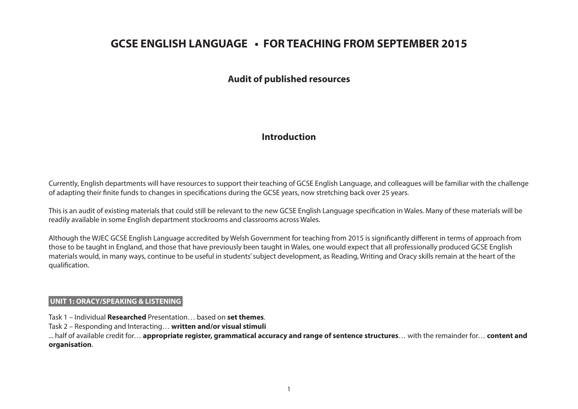## **GCSE ENGLISH LANGUAGE • FOR TEACHING FROM SEPTEMBER 2015**

#### **Audit of published resources**

#### **Introduction**

Currently, English departments will have resources to support their teaching of GCSE English Language, and colleagues will be familiar with the challenge of adapting their finite funds to changes in specifications during the GCSE years, now stretching back over 25 years.

This is an audit of existing materials that could still be relevant to the new GCSE English Language specification in Wales. Many of these materials will be readily available in some English department stockrooms and classrooms across Wales.

Although the WJEC GCSE English Language accredited by Welsh Government for teaching from 2015 is significantly different in terms of approach from those to be taught in England, and those that have previously been taught in Wales, one would expect that all professionally produced GCSE English materials would, in many ways, continue to be useful in students' subject development, as Reading, Writing and Oracy skills remain at the heart of the qualification.

#### **UNIT 1: ORACY/SPEAKING & LISTENING**

Task 1 – Individual **Researched** Presentation… based on **set themes**.

Task 2 – Responding and Interacting… **written and/or visual stimuli**

... half of available credit for… **appropriate register, grammatical accuracy and range of sentence structures**… with the remainder for… **content and organisation**.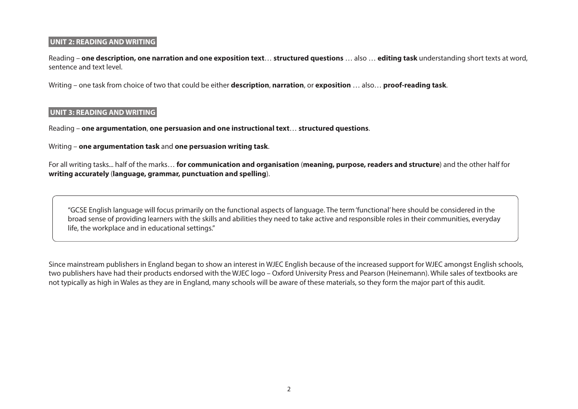#### **UNIT 2: READING AND WRITING**

Reading – **one description, one narration and one exposition text**… **structured questions** … also … **editing task** understanding short texts at word, sentence and text level.

Writing – one task from choice of two that could be either **description**, **narration**, or **exposition** … also… **proof-reading task**.

#### **UNIT 3: READING AND WRITING**

Reading – **one argumentation**, **one persuasion and one instructional text**… **structured questions**.

Writing – **one argumentation task** and **one persuasion writing task**.

For all writing tasks... half of the marks… **for communication and organisation** (**meaning, purpose, readers and structure**) and the other half for **writing accurately** (**language, grammar, punctuation and spelling**).

"GCSE English language will focus primarily on the functional aspects of language. The term 'functional' here should be considered in the broad sense of providing learners with the skills and abilities they need to take active and responsible roles in their communities, everyday life, the workplace and in educational settings."

Since mainstream publishers in England began to show an interest in WJEC English because of the increased support for WJEC amongst English schools, two publishers have had their products endorsed with the WJEC logo – Oxford University Press and Pearson (Heinemann). While sales of textbooks are not typically as high in Wales as they are in England, many schools will be aware of these materials, so they form the major part of this audit.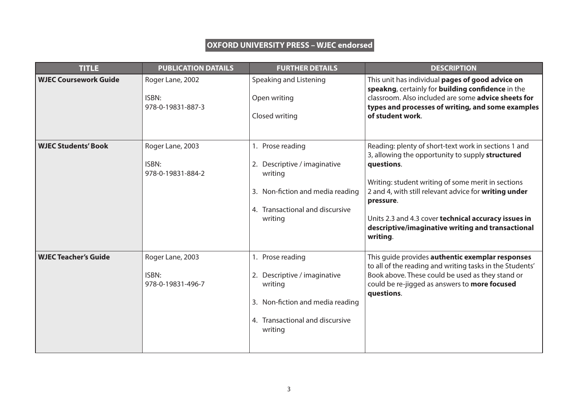### **OXFORD UNIVERSITY PRESS – WJEC endorsed**

| <b>TITLE</b>                 | <b>PUBLICATION DATAILS</b>                     | <b>FURTHER DETAILS</b>                                                                                                                        | <b>DESCRIPTION</b>                                                                                                                                                                                                                                                                                                                                                          |
|------------------------------|------------------------------------------------|-----------------------------------------------------------------------------------------------------------------------------------------------|-----------------------------------------------------------------------------------------------------------------------------------------------------------------------------------------------------------------------------------------------------------------------------------------------------------------------------------------------------------------------------|
| <b>WJEC Coursework Guide</b> | Roger Lane, 2002<br>ISBN:<br>978-0-19831-887-3 | Speaking and Listening<br>Open writing<br>Closed writing                                                                                      | This unit has individual pages of good advice on<br>speakng, certainly for building confidence in the<br>classroom. Also included are some <b>advice sheets for</b><br>types and processes of writing, and some examples<br>of student work.                                                                                                                                |
| <b>WJEC Students' Book</b>   | Roger Lane, 2003<br>ISBN:<br>978-0-19831-884-2 | 1. Prose reading<br>2. Descriptive / imaginative<br>writing<br>3. Non-fiction and media reading<br>4. Transactional and discursive<br>writing | Reading: plenty of short-text work in sections 1 and<br>3, allowing the opportunity to supply structured<br>questions.<br>Writing: student writing of some merit in sections<br>2 and 4, with still relevant advice for writing under<br>pressure.<br>Units 2.3 and 4.3 cover technical accuracy issues in<br>descriptive/imaginative writing and transactional<br>writing. |
| <b>WJEC Teacher's Guide</b>  | Roger Lane, 2003<br>ISBN:<br>978-0-19831-496-7 | 1. Prose reading<br>2. Descriptive / imaginative<br>writing<br>3. Non-fiction and media reading<br>4. Transactional and discursive<br>writing | This quide provides authentic exemplar responses<br>to all of the reading and writing tasks in the Students'<br>Book above. These could be used as they stand or<br>could be re-jigged as answers to more focused<br>questions.                                                                                                                                             |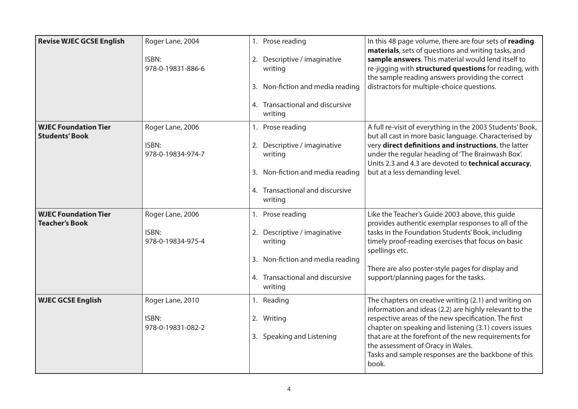| <b>Revise WJEC GCSE English</b>                      | Roger Lane, 2004           | 1. Prose reading                           | In this 48 page volume, there are four sets of reading<br>materials, sets of questions and writing tasks, and                                                     |
|------------------------------------------------------|----------------------------|--------------------------------------------|-------------------------------------------------------------------------------------------------------------------------------------------------------------------|
|                                                      | ISBN:<br>978-0-19831-886-6 | 2. Descriptive / imaginative<br>writing    | sample answers. This material would lend itself to<br>re-jigging with structured questions for reading, with<br>the sample reading answers providing the correct  |
|                                                      |                            | 3. Non-fiction and media reading           | distractors for multiple-choice questions.                                                                                                                        |
|                                                      |                            | 4. Transactional and discursive<br>writing |                                                                                                                                                                   |
| <b>WJEC Foundation Tier</b><br><b>Students' Book</b> | Roger Lane, 2006           | 1. Prose reading                           | A full re-visit of everything in the 2003 Students' Book,<br>but all cast in more basic language. Characterised by                                                |
|                                                      | ISBN:<br>978-0-19834-974-7 | Descriptive / imaginative<br>2.<br>writing | very direct definitions and instructions, the latter<br>under the regular heading of 'The Brainwash Box'.<br>Units 2.3 and 4.3 are devoted to technical accuracy, |
|                                                      |                            | 3. Non-fiction and media reading           | but at a less demanding level.                                                                                                                                    |
|                                                      |                            | 4. Transactional and discursive<br>writing |                                                                                                                                                                   |
| <b>WJEC Foundation Tier</b><br><b>Teacher's Book</b> | Roger Lane, 2006           | 1. Prose reading                           | Like the Teacher's Guide 2003 above, this guide<br>provides authentic exemplar responses to all of the                                                            |
|                                                      | ISBN:<br>978-0-19834-975-4 | Descriptive / imaginative<br>2.<br>writing | tasks in the Foundation Students' Book, including<br>timely proof-reading exercises that focus on basic<br>spellings etc.                                         |
|                                                      |                            | 3. Non-fiction and media reading           | There are also poster-style pages for display and                                                                                                                 |
|                                                      |                            | 4. Transactional and discursive<br>writing | support/planning pages for the tasks.                                                                                                                             |
| <b>WJEC GCSE English</b>                             | Roger Lane, 2010           | 1. Reading                                 | The chapters on creative writing (2.1) and writing on<br>information and ideas (2.2) are highly relevant to the                                                   |
|                                                      | ISBN:<br>978-0-19831-082-2 | 2. Writing                                 | respective areas of the new specification. The first<br>chapter on speaking and listening (3.1) covers issues                                                     |
|                                                      |                            | 3. Speaking and Listening                  | that are at the forefront of the new requirements for<br>the assessment of Oracy in Wales.<br>Tasks and sample responses are the backbone of this<br>book.        |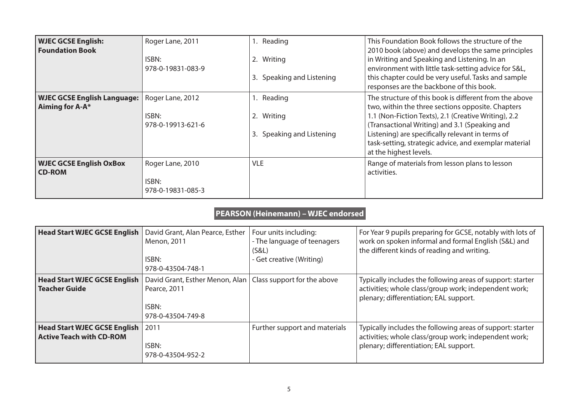| <b>WJEC GCSE English:</b><br><b>Foundation Book</b>   | Roger Lane, 2011           | Reading                      | This Foundation Book follows the structure of the<br>2010 book (above) and develops the same principles                             |
|-------------------------------------------------------|----------------------------|------------------------------|-------------------------------------------------------------------------------------------------------------------------------------|
|                                                       | ISBN:<br>978-0-19831-083-9 | 2. Writing                   | in Writing and Speaking and Listening. In an<br>environment with little task-setting advice for S&L,                                |
|                                                       |                            | Speaking and Listening<br>3. | this chapter could be very useful. Tasks and sample<br>responses are the backbone of this book.                                     |
| <b>WJEC GCSE English Language:</b><br>Aiming for A-A* | Roger Lane, 2012           | 1. Reading                   | The structure of this book is different from the above<br>two, within the three sections opposite. Chapters                         |
|                                                       | ISBN:<br>978-0-19913-621-6 | Writing<br>2.                | 1.1 (Non-Fiction Texts), 2.1 (Creative Writing), 2.2<br>(Transactional Writing) and 3.1 (Speaking and                               |
|                                                       |                            | Speaking and Listening<br>3. | Listening) are specifically relevant in terms of<br>task-setting, strategic advice, and exemplar material<br>at the highest levels. |
| <b>WJEC GCSE English OxBox</b><br><b>CD-ROM</b>       | Roger Lane, 2010           | <b>VLE</b>                   | Range of materials from lesson plans to lesson<br>activities.                                                                       |
|                                                       | ISBN:<br>978-0-19831-085-3 |                              |                                                                                                                                     |

## **PEARSON (Heinemann) – WJEC endorsed**

| <b>Head Start WJEC GCSE English</b>                                    | David Grant, Alan Pearce, Esther<br>Menon, 2011<br>ISBN:<br>978-0-43504-748-1                               | Four units including:<br>- The language of teenagers<br>(S&L)<br>- Get creative (Writing) | For Year 9 pupils preparing for GCSE, notably with lots of<br>work on spoken informal and formal English (S&L) and<br>the different kinds of reading and writing. |
|------------------------------------------------------------------------|-------------------------------------------------------------------------------------------------------------|-------------------------------------------------------------------------------------------|-------------------------------------------------------------------------------------------------------------------------------------------------------------------|
| <b>Head Start WJEC GCSE English</b><br><b>Teacher Guide</b>            | David Grant, Esther Menon, Alan   Class support for the above<br>Pearce, 2011<br>ISBN:<br>978-0-43504-749-8 |                                                                                           | Typically includes the following areas of support: starter<br>activities; whole class/group work; independent work;<br>plenary; differentiation; EAL support.     |
| <b>Head Start WJEC GCSE English</b><br><b>Active Teach with CD-ROM</b> | 2011<br>ISBN:<br>978-0-43504-952-2                                                                          | Further support and materials                                                             | Typically includes the following areas of support: starter<br>activities; whole class/group work; independent work;<br>plenary; differentiation; EAL support.     |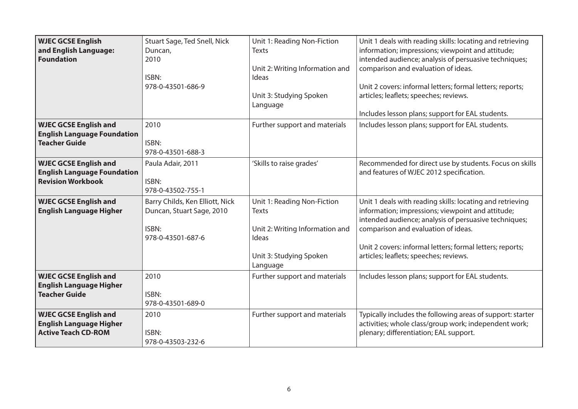| <b>WJEC GCSE English</b><br>and English Language:<br><b>Foundation</b>                         | Stuart Sage, Ted Snell, Nick<br>Duncan,<br>2010<br>ISBN:<br>978-0-43501-686-9              | Unit 1: Reading Non-Fiction<br><b>Texts</b><br>Unit 2: Writing Information and<br>Ideas<br>Unit 3: Studying Spoken<br>Language | Unit 1 deals with reading skills: locating and retrieving<br>information; impressions; viewpoint and attitude;<br>intended audience; analysis of persuasive techniques;<br>comparison and evaluation of ideas.<br>Unit 2 covers: informal letters; formal letters; reports;<br>articles; leaflets; speeches; reviews.<br>Includes lesson plans; support for EAL students. |
|------------------------------------------------------------------------------------------------|--------------------------------------------------------------------------------------------|--------------------------------------------------------------------------------------------------------------------------------|---------------------------------------------------------------------------------------------------------------------------------------------------------------------------------------------------------------------------------------------------------------------------------------------------------------------------------------------------------------------------|
| <b>WJEC GCSE English and</b><br><b>English Language Foundation</b><br><b>Teacher Guide</b>     | 2010<br>ISBN:<br>978-0-43501-688-3                                                         | Further support and materials                                                                                                  | Includes lesson plans; support for EAL students.                                                                                                                                                                                                                                                                                                                          |
| <b>WJEC GCSE English and</b><br><b>English Language Foundation</b><br><b>Revision Workbook</b> | Paula Adair, 2011<br>ISBN:<br>978-0-43502-755-1                                            | 'Skills to raise grades'                                                                                                       | Recommended for direct use by students. Focus on skills<br>and features of WJEC 2012 specification.                                                                                                                                                                                                                                                                       |
| <b>WJEC GCSE English and</b><br><b>English Language Higher</b>                                 | Barry Childs, Ken Elliott, Nick<br>Duncan, Stuart Sage, 2010<br>ISBN:<br>978-0-43501-687-6 | Unit 1: Reading Non-Fiction<br>Texts<br>Unit 2: Writing Information and<br>Ideas<br>Unit 3: Studying Spoken<br>Language        | Unit 1 deals with reading skills: locating and retrieving<br>information; impressions; viewpoint and attitude;<br>intended audience; analysis of persuasive techniques;<br>comparison and evaluation of ideas.<br>Unit 2 covers: informal letters; formal letters; reports;<br>articles; leaflets; speeches; reviews.                                                     |
| <b>WJEC GCSE English and</b><br><b>English Language Higher</b><br><b>Teacher Guide</b>         | 2010<br>ISBN:<br>978-0-43501-689-0                                                         | Further support and materials                                                                                                  | Includes lesson plans; support for EAL students.                                                                                                                                                                                                                                                                                                                          |
| <b>WJEC GCSE English and</b><br><b>English Language Higher</b><br><b>Active Teach CD-ROM</b>   | 2010<br>ISBN:<br>978-0-43503-232-6                                                         | Further support and materials                                                                                                  | Typically includes the following areas of support: starter<br>activities; whole class/group work; independent work;<br>plenary; differentiation; EAL support.                                                                                                                                                                                                             |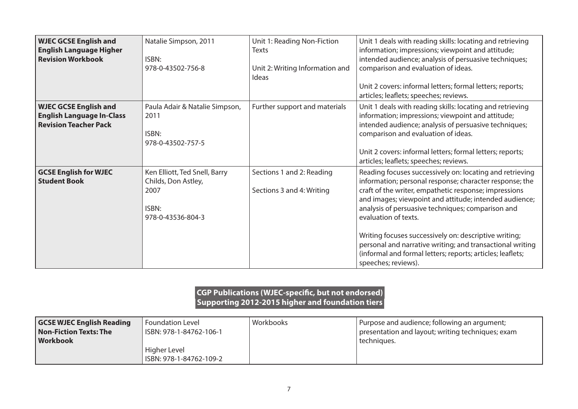| <b>WJEC GCSE English and</b><br><b>English Language Higher</b><br><b>Revision Workbook</b>       | Natalie Simpson, 2011<br>ISBN:<br>978-0-43502-756-8                                        | Unit 1: Reading Non-Fiction<br>Texts<br>Unit 2: Writing Information and<br>Ideas | Unit 1 deals with reading skills: locating and retrieving<br>information; impressions; viewpoint and attitude;<br>intended audience; analysis of persuasive techniques;<br>comparison and evaluation of ideas.<br>Unit 2 covers: informal letters; formal letters; reports;<br>articles; leaflets; speeches; reviews.                                                                                                                                                                                                          |
|--------------------------------------------------------------------------------------------------|--------------------------------------------------------------------------------------------|----------------------------------------------------------------------------------|--------------------------------------------------------------------------------------------------------------------------------------------------------------------------------------------------------------------------------------------------------------------------------------------------------------------------------------------------------------------------------------------------------------------------------------------------------------------------------------------------------------------------------|
| <b>WJEC GCSE English and</b><br><b>English Language In-Class</b><br><b>Revision Teacher Pack</b> | Paula Adair & Natalie Simpson,<br>2011<br>ISBN:<br>978-0-43502-757-5                       | Further support and materials                                                    | Unit 1 deals with reading skills: locating and retrieving<br>information; impressions; viewpoint and attitude;<br>intended audience; analysis of persuasive techniques;<br>comparison and evaluation of ideas.<br>Unit 2 covers: informal letters; formal letters; reports;<br>articles; leaflets; speeches; reviews.                                                                                                                                                                                                          |
| <b>GCSE English for WJEC</b><br><b>Student Book</b>                                              | Ken Elliott, Ted Snell, Barry<br>Childs, Don Astley,<br>2007<br>ISBN:<br>978-0-43536-804-3 | Sections 1 and 2: Reading<br>Sections 3 and 4: Writing                           | Reading focuses successively on: locating and retrieving<br>information; personal response; character response; the<br>craft of the writer, empathetic response; impressions<br>and images; viewpoint and attitude; intended audience;<br>analysis of persuasive techniques; comparison and<br>evaluation of texts.<br>Writing focuses successively on: descriptive writing;<br>personal and narrative writing; and transactional writing<br>(informal and formal letters; reports; articles; leaflets;<br>speeches; reviews). |

#### **CGP Publications (WJEC-specific, but not endorsed) Supporting 2012-2015 higher and foundation tiers**

| <b>GCSE WJEC English Reading</b> | Foundation Level        | Workbooks | Purpose and audience; following an argument;      |
|----------------------------------|-------------------------|-----------|---------------------------------------------------|
| Non-Fiction Texts: The           | ISBN: 978-1-84762-106-1 |           | presentation and layout; writing techniques; exam |
| Workbook                         |                         |           | techniques.                                       |
|                                  | Higher Level            |           |                                                   |
|                                  | ISBN: 978-1-84762-109-2 |           |                                                   |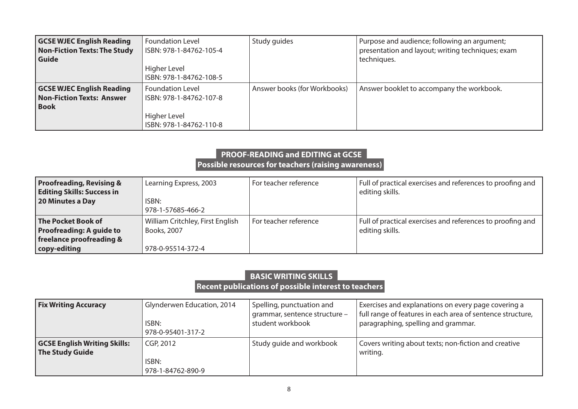| <b>GCSE WJEC English Reading</b><br><b>Non-Fiction Texts: The Study</b><br>Guide    | <b>Foundation Level</b><br>ISBN: 978-1-84762-105-4<br>Higher Level<br>ISBN: 978-1-84762-108-5 | Study guides                 | Purpose and audience; following an argument;<br>presentation and layout; writing techniques; exam<br>techniques. |
|-------------------------------------------------------------------------------------|-----------------------------------------------------------------------------------------------|------------------------------|------------------------------------------------------------------------------------------------------------------|
| <b>GCSE WJEC English Reading</b><br><b>Non-Fiction Texts: Answer</b><br><b>Book</b> | <b>Foundation Level</b><br>ISBN: 978-1-84762-107-8<br>Higher Level<br>ISBN: 978-1-84762-110-8 | Answer books (for Workbooks) | Answer booklet to accompany the workbook.                                                                        |

### **PROOF-READING and EDITING at GCSE Possible resources for teachers (raising awareness)**

| <b>Proofreading, Revising &amp;</b><br><b>Editing Skills: Success in</b>                 | Learning Express, 2003                          | For teacher reference | Full of practical exercises and references to proofing and<br>editing skills. |
|------------------------------------------------------------------------------------------|-------------------------------------------------|-----------------------|-------------------------------------------------------------------------------|
| 20 Minutes a Day                                                                         | ISBN:<br>978-1-57685-466-2                      |                       |                                                                               |
| <b>The Pocket Book of</b><br><b>Proofreading: A guide to</b><br>freelance proofreading & | William Critchley, First English<br>Books, 2007 | For teacher reference | Full of practical exercises and references to proofing and<br>editing skills. |
| copy-editing                                                                             | 978-0-95514-372-4                               |                       |                                                                               |

## **BASIC WRITING SKILLS**

 **Recent publications of possible interest to teachers** 

| <b>Fix Writing Accuracy</b>                                   | Glynderwen Education, 2014              | Spelling, punctuation and     | Exercises and explanations on every page covering a              |
|---------------------------------------------------------------|-----------------------------------------|-------------------------------|------------------------------------------------------------------|
|                                                               | ISBN:                                   | grammar, sentence structure - | full range of features in each area of sentence structure,       |
|                                                               | 978-0-95401-317-2                       | student workbook              | paragraphing, spelling and grammar.                              |
| <b>GCSE English Writing Skills:</b><br><b>The Study Guide</b> | CGP, 2012<br>ISBN:<br>978-1-84762-890-9 | Study guide and workbook      | Covers writing about texts; non-fiction and creative<br>writing. |